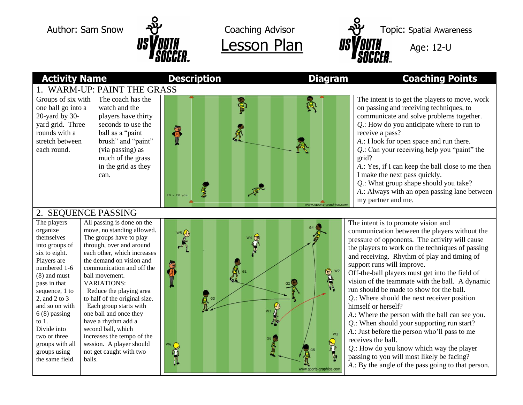



#### **Activity Name Description Diagram Coaching Points** 1. WARM-UP: PAINT THE GRASS

Groups of six with one ball go into a 20-yard by 30 yard grid. Three rounds with a stretch between each round.

The coach has the watch and the players have thirty seconds to use the ball as a "paint brush" and "paint" (via passing) as much of the grass in the grid as they can.



on passing and receiving techniques, to communicate and solve problems together. *Q*.: How do you anticipate where to run to receive a pass? *A*.: I look for open space and run there. *Q*.: Can your receiving help you "paint" the grid? *A*.: Yes, if I can keep the ball close to me then I make the next pass quickly. *Q*.: What group shape should you take? *A*.: Always with an open passing lane between my partner and me.

The intent is to get the players to move, work

## 2. SEQUENCE PASSING

The players organize themselves into groups of six to eight. Players are numbered 1-6 (8) and must pass in that sequence, 1 to 2, and 2 to 3 and so on with 6 (8) passing to 1. Divide into two or three groups with all groups using the same field.

All passing is done on the move, no standing allowed. The groups have to play through, over and around each other, which increases the demand on vision and communication and off the ball movement. VARIATIONS: Reduce the playing area to half of the original size. Each group starts with one ball and once they have a rhythm add a second ball, which increases the tempo of the session. A player should not get caught with two balls.



The intent is to promote vision and communication between the players without the pressure of opponents. The activity will cause the players to work on the techniques of passing and receiving. Rhythm of play and timing of support runs will improve.

Off-the-ball players must get into the field of vision of the teammate with the ball. A dynamic run should be made to show for the ball.

*Q*.: Where should the next receiver position himself or herself?

*A*.: Where the person with the ball can see you.

*Q*.: When should your supporting run start? *A*.: Just before the person who'll pass to me

receives the ball.

*Q*.: How do you know which way the player passing to you will most likely be facing? *A*.: By the angle of the pass going to that person.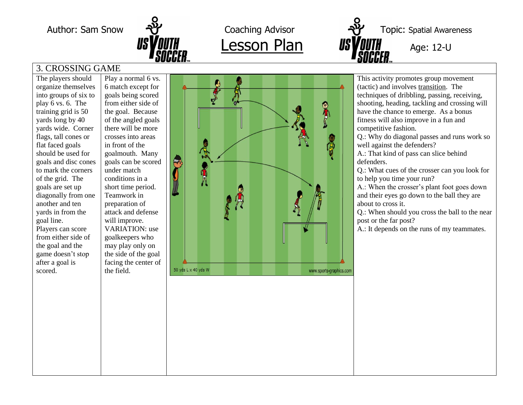

Lesson Plan

Author: Sam Snow  $\frac{1}{2}$  Coaching Advisor  $\frac{1}{2}$  Topic: Spatial Awareness - U

# 3. CROSSING GAME

The players should organize themselves into groups of six to play 6 vs. 6. The training grid is 50 yards long by 40 yards wide. Corner flags, tall cones or flat faced goals should be used for goals and disc cones to mark the corners of the grid. The goals are set up diagonally from one another and ten yards in from the goal line. Players can score from either side of the goal and the game doesn't stop after a goal is scored.

Play a normal 6 vs. 6 match except for goals being scored from either side of the goal. Because of the angled goals there will be more crosses into areas in front of the goalmouth. Many goals can be scored under match conditions in a short time period. Teamwork in preparation of attack and defense will improve. VARIATION: use goalkeepers who may play only on the side of the goal facing the center of the field.



This activity promotes group movement (tactic) and involves transition. The techniques of dribbling, passing, receiving, shooting, heading, tackling and crossing will have the chance to emerge. As a bonus fitness will also improve in a fun and competitive fashion.

Q.: Why do diagonal passes and runs work so well against the defenders?

A.: That kind of pass can slice behind defenders.

Q.: What cues of the crosser can you look for to help you time your run?

A.: When the crosser's plant foot goes down and their eyes go down to the ball they are about to cross it.

Q.: When should you cross the ball to the near post or the far post?

A.: It depends on the runs of my teammates.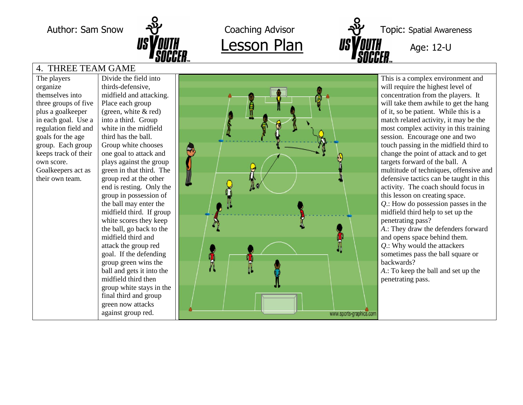

Lesson Plan

Author: Sam Snow  $\frac{1}{2}$  Coaching Advisor  $\frac{1}{2}$  Topic: Spatial Awareness - U

### 4. THREE TEAM GAME

The players organize themselves into three groups of five plus a goalkeeper in each goal. Use a regulation field and goals for the age group. Each group keeps track of their own score. Goalkeepers act as their own team.

Divide the field into thirds -defensive, midfield and attacking. Place each group<br>(green, white & red) into a third. Group white in the midfield third has the ball. Group white chooses one goal to attack and plays against the group green in that third. The group red at the other end is resting. Only the group in possession of the ball may enter the midfield third. If group white scores they keep the ball, go back to the midfield third and attack the group red goal. If the defending group green wins the ball and gets it into the midfield third then group white stays in the final third and group green now attacks against group red .



This is a complex environment and will require the highest level of concentration from the players. It will take them awhile to get the hang of it, so be patient. While this is a match related activity, it may be the most complex activity in this training session. Encourage one and two touch passing in the midfield third to change the point of attack and to get targets forward of the ball. A multitude of techniques, offensive and defensive tactics can be taught in this activity. The coach should focus in this lesson on creating space. *Q*.: How do possession passes in the midfield third help to set up the penetrating pass? *A*.: They draw the defenders forward and opens space behind them. *<sup>Q</sup>*.: Why would the attackers sometimes pass the ball square or backwards? *A*.: To keep the ball and set up the penetrating pass.